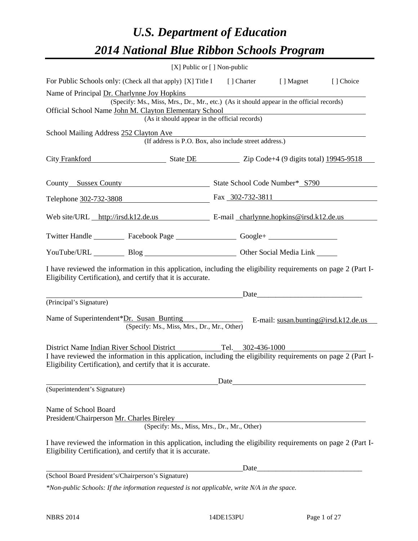# *U.S. Department of Education 2014 National Blue Ribbon Schools Program*

|                                                                                                                                                                                                                                                    |                                                        | [X] Public or [] Non-public |                                      |            |  |  |  |  |  |
|----------------------------------------------------------------------------------------------------------------------------------------------------------------------------------------------------------------------------------------------------|--------------------------------------------------------|-----------------------------|--------------------------------------|------------|--|--|--|--|--|
| For Public Schools only: (Check all that apply) [X] Title I [] Charter [] Magnet                                                                                                                                                                   |                                                        |                             |                                      | [ ] Choice |  |  |  |  |  |
| Name of Principal Dr. Charlynne Joy Hopkins<br>(Specify: Ms., Miss, Mrs., Dr., Mr., etc.) (As it should appear in the official records)<br>Official School Name John M. Clayton Elementary School<br>(As it should appear in the official records) |                                                        |                             |                                      |            |  |  |  |  |  |
| School Mailing Address 252 Clayton Ave                                                                                                                                                                                                             | (If address is P.O. Box, also include street address.) |                             |                                      |            |  |  |  |  |  |
| City Frankford State DE State DE Zip Code+4 (9 digits total) 19945-9518                                                                                                                                                                            |                                                        |                             |                                      |            |  |  |  |  |  |
| County Sussex County Sussex County State School Code Number* S790                                                                                                                                                                                  |                                                        |                             |                                      |            |  |  |  |  |  |
| Telephone 302-732-3808 Fax 302-732-3811                                                                                                                                                                                                            |                                                        |                             |                                      |            |  |  |  |  |  |
| Web site/URL http://irsd.k12.de.us E-mail charlynne.hopkins@irsd.k12.de.us                                                                                                                                                                         |                                                        |                             |                                      |            |  |  |  |  |  |
| Twitter Handle ___________ Facebook Page ___________________ Google+ ____________                                                                                                                                                                  |                                                        |                             |                                      |            |  |  |  |  |  |
| YouTube/URL Blog Blog Cher Social Media Link                                                                                                                                                                                                       |                                                        |                             |                                      |            |  |  |  |  |  |
| I have reviewed the information in this application, including the eligibility requirements on page 2 (Part I-<br>Eligibility Certification), and certify that it is accurate.                                                                     |                                                        |                             |                                      |            |  |  |  |  |  |
| (Principal's Signature)                                                                                                                                                                                                                            |                                                        |                             | Date                                 |            |  |  |  |  |  |
| Name of Superintendent*Dr. Susan Bunting                                                                                                                                                                                                           | (Specify: Ms., Miss, Mrs., Dr., Mr., Other)            |                             | E-mail: susan.bunting@irsd.k12.de.us |            |  |  |  |  |  |
| District Name Indian River School District Tel. 302-436-1000<br>I have reviewed the information in this application, including the eligibility requirements on page 2 (Part I-<br>Eligibility Certification), and certify that it is accurate.     |                                                        |                             |                                      |            |  |  |  |  |  |
|                                                                                                                                                                                                                                                    |                                                        | Date                        |                                      |            |  |  |  |  |  |
| (Superintendent's Signature)                                                                                                                                                                                                                       |                                                        |                             |                                      |            |  |  |  |  |  |
| Name of School Board<br>President/Chairperson Mr. Charles Bireley                                                                                                                                                                                  | (Specify: Ms., Miss, Mrs., Dr., Mr., Other)            |                             |                                      |            |  |  |  |  |  |
| I have reviewed the information in this application, including the eligibility requirements on page 2 (Part I-<br>Eligibility Certification), and certify that it is accurate.                                                                     |                                                        |                             |                                      |            |  |  |  |  |  |
|                                                                                                                                                                                                                                                    |                                                        | Date                        |                                      |            |  |  |  |  |  |
| (School Board President's/Chairperson's Signature)                                                                                                                                                                                                 |                                                        |                             |                                      |            |  |  |  |  |  |
| *Non-public Schools: If the information requested is not applicable, write N/A in the space.                                                                                                                                                       |                                                        |                             |                                      |            |  |  |  |  |  |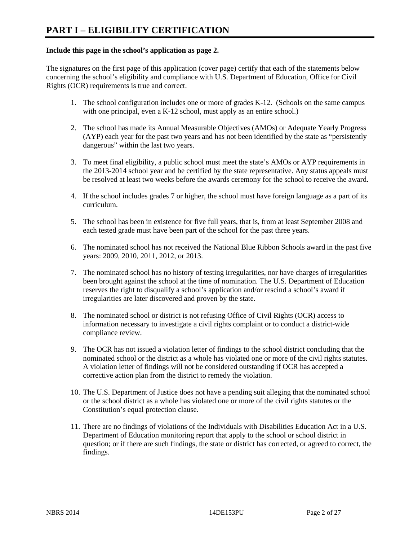### **Include this page in the school's application as page 2.**

The signatures on the first page of this application (cover page) certify that each of the statements below concerning the school's eligibility and compliance with U.S. Department of Education, Office for Civil Rights (OCR) requirements is true and correct.

- 1. The school configuration includes one or more of grades K-12. (Schools on the same campus with one principal, even a K-12 school, must apply as an entire school.)
- 2. The school has made its Annual Measurable Objectives (AMOs) or Adequate Yearly Progress (AYP) each year for the past two years and has not been identified by the state as "persistently dangerous" within the last two years.
- 3. To meet final eligibility, a public school must meet the state's AMOs or AYP requirements in the 2013-2014 school year and be certified by the state representative. Any status appeals must be resolved at least two weeks before the awards ceremony for the school to receive the award.
- 4. If the school includes grades 7 or higher, the school must have foreign language as a part of its curriculum.
- 5. The school has been in existence for five full years, that is, from at least September 2008 and each tested grade must have been part of the school for the past three years.
- 6. The nominated school has not received the National Blue Ribbon Schools award in the past five years: 2009, 2010, 2011, 2012, or 2013.
- 7. The nominated school has no history of testing irregularities, nor have charges of irregularities been brought against the school at the time of nomination. The U.S. Department of Education reserves the right to disqualify a school's application and/or rescind a school's award if irregularities are later discovered and proven by the state.
- 8. The nominated school or district is not refusing Office of Civil Rights (OCR) access to information necessary to investigate a civil rights complaint or to conduct a district-wide compliance review.
- 9. The OCR has not issued a violation letter of findings to the school district concluding that the nominated school or the district as a whole has violated one or more of the civil rights statutes. A violation letter of findings will not be considered outstanding if OCR has accepted a corrective action plan from the district to remedy the violation.
- 10. The U.S. Department of Justice does not have a pending suit alleging that the nominated school or the school district as a whole has violated one or more of the civil rights statutes or the Constitution's equal protection clause.
- 11. There are no findings of violations of the Individuals with Disabilities Education Act in a U.S. Department of Education monitoring report that apply to the school or school district in question; or if there are such findings, the state or district has corrected, or agreed to correct, the findings.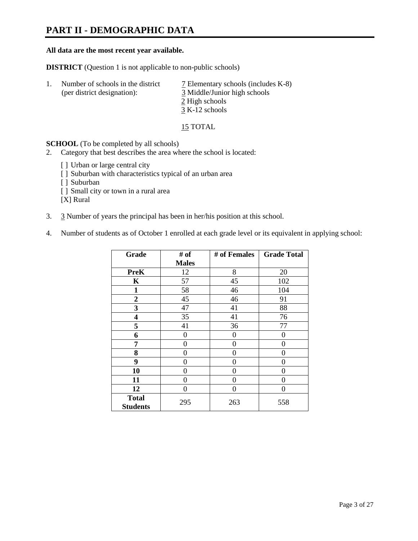### **PART II - DEMOGRAPHIC DATA**

#### **All data are the most recent year available.**

**DISTRICT** (Question 1 is not applicable to non-public schools)

| -1. | Number of schools in the district<br>(per district designation): | $\overline{2}$ Elementary schools (includes K-8)<br>3 Middle/Junior high schools<br>2 High schools |
|-----|------------------------------------------------------------------|----------------------------------------------------------------------------------------------------|
|     |                                                                  | $3 K-12$ schools                                                                                   |

15 TOTAL

**SCHOOL** (To be completed by all schools)

- 2. Category that best describes the area where the school is located:
	- [] Urban or large central city
	- [ ] Suburban with characteristics typical of an urban area
	- [ ] Suburban
	- [ ] Small city or town in a rural area

[X] Rural

- 3. 3 Number of years the principal has been in her/his position at this school.
- 4. Number of students as of October 1 enrolled at each grade level or its equivalent in applying school:

| Grade                           | # of         | # of Females | <b>Grade Total</b> |
|---------------------------------|--------------|--------------|--------------------|
|                                 | <b>Males</b> |              |                    |
| <b>PreK</b>                     | 12           | 8            | 20                 |
| K                               | 57           | 45           | 102                |
| $\mathbf{1}$                    | 58           | 46           | 104                |
| 2                               | 45           | 46           | 91                 |
| 3                               | 47           | 41           | 88                 |
| 4                               | 35           | 41           | 76                 |
| 5                               | 41           | 36           | 77                 |
| 6                               | 0            | $\theta$     | 0                  |
| 7                               | $\theta$     | 0            | 0                  |
| 8                               | 0            | 0            | 0                  |
| 9                               | 0            | 0            | 0                  |
| 10                              | 0            | 0            | 0                  |
| 11                              | 0            | 0            | 0                  |
| 12                              | 0            | 0            | 0                  |
| <b>Total</b><br><b>Students</b> | 295          | 263          | 558                |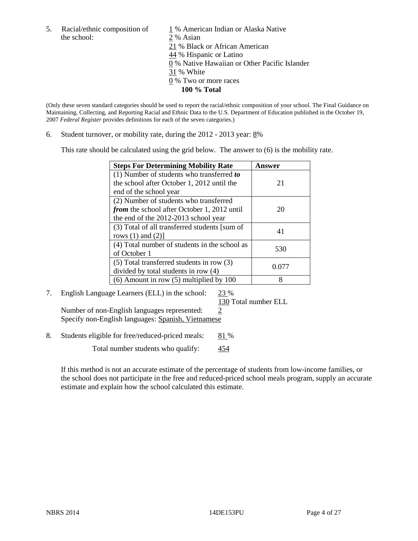the school: 2 % Asian

5. Racial/ethnic composition of  $1\%$  American Indian or Alaska Native 21 % Black or African American 44 % Hispanic or Latino 0 % Native Hawaiian or Other Pacific Islander 31 % White 0 % Two or more races **100 % Total** 

(Only these seven standard categories should be used to report the racial/ethnic composition of your school. The Final Guidance on Maintaining, Collecting, and Reporting Racial and Ethnic Data to the U.S. Department of Education published in the October 19, 2007 *Federal Register* provides definitions for each of the seven categories.)

6. Student turnover, or mobility rate, during the  $2012 - 2013$  year:  $8\%$ 

This rate should be calculated using the grid below. The answer to (6) is the mobility rate.

| <b>Steps For Determining Mobility Rate</b>         | Answer |
|----------------------------------------------------|--------|
| (1) Number of students who transferred to          |        |
| the school after October 1, 2012 until the         | 21     |
| end of the school year                             |        |
| (2) Number of students who transferred             |        |
| <i>from</i> the school after October 1, 2012 until | 20     |
| the end of the 2012-2013 school year               |        |
| (3) Total of all transferred students [sum of      | 41     |
| rows $(1)$ and $(2)$ ]                             |        |
| (4) Total number of students in the school as      | 530    |
| of October 1                                       |        |
| $(5)$ Total transferred students in row $(3)$      | 0.077  |
| divided by total students in row (4)               |        |
| $(6)$ Amount in row $(5)$ multiplied by 100        | 8      |

### 7. English Language Learners (ELL) in the school: 23 %

130 Total number ELL

Number of non-English languages represented:  $2$ Specify non-English languages: Spanish, Vietnamese

8. Students eligible for free/reduced-priced meals: 81 %

Total number students who qualify:  $454$ 

If this method is not an accurate estimate of the percentage of students from low-income families, or the school does not participate in the free and reduced-priced school meals program, supply an accurate estimate and explain how the school calculated this estimate.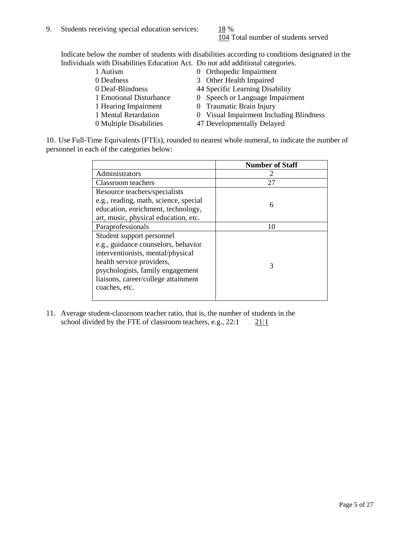104 Total number of students served

Indicate below the number of students with disabilities according to conditions designated in the Individuals with Disabilities Education Act. Do not add additional categories.

1 Autism 0 Orthopedic Impairment<br>
0 Deafness 3 Other Health Impaired 3 Other Health Impaired 0 Deaf-Blindness 44 Specific Learning Disability 1 Emotional Disturbance 0 Speech or Language Impairment 1 Hearing Impairment 0 Traumatic Brain Injury 1 Mental Retardation 0 Visual Impairment Including Blindness 0 Multiple Disabilities 47 Developmentally Delayed

10. Use Full-Time Equivalents (FTEs), rounded to nearest whole numeral, to indicate the number of personnel in each of the categories below:

|                                       | <b>Number of Staff</b> |
|---------------------------------------|------------------------|
| Administrators                        |                        |
| Classroom teachers                    | 27                     |
| Resource teachers/specialists         |                        |
| e.g., reading, math, science, special | 6                      |
| education, enrichment, technology,    |                        |
| art, music, physical education, etc.  |                        |
| Paraprofessionals                     | 10                     |
| Student support personnel             |                        |
| e.g., guidance counselors, behavior   |                        |
| interventionists, mental/physical     |                        |
| health service providers,             | 3                      |
| psychologists, family engagement      |                        |
| liaisons, career/college attainment   |                        |
| coaches, etc.                         |                        |
|                                       |                        |

11. Average student-classroom teacher ratio, that is, the number of students in the school divided by the FTE of classroom teachers, e.g.,  $22:1$  21:1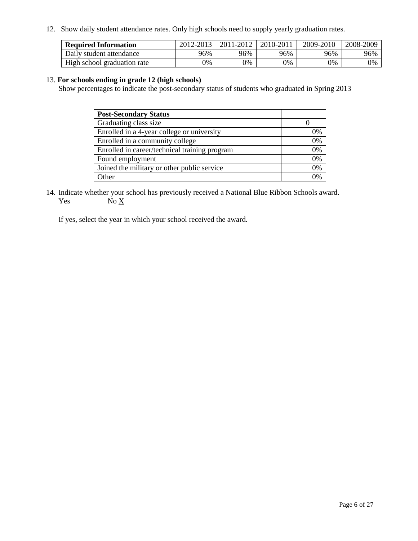12. Show daily student attendance rates. Only high schools need to supply yearly graduation rates.

| <b>Required Information</b> | 2012-2013 | 2011-2012 | 2010-2011 | 2009-2010 | 2008-2009 |
|-----------------------------|-----------|-----------|-----------|-----------|-----------|
| Daily student attendance    | 96%       | 96%       | 96%       | 96%       | 96%       |
| High school graduation rate | 0%        | 0%        | 0%        | 0%        | 0%        |

### 13. **For schools ending in grade 12 (high schools)**

Show percentages to indicate the post-secondary status of students who graduated in Spring 2013

| <b>Post-Secondary Status</b>                  |    |
|-----------------------------------------------|----|
| Graduating class size                         |    |
| Enrolled in a 4-year college or university    | 0% |
| Enrolled in a community college               | 0% |
| Enrolled in career/technical training program | 0% |
| Found employment                              | 0% |
| Joined the military or other public service   | 0% |
| . Other                                       | 0% |

14. Indicate whether your school has previously received a National Blue Ribbon Schools award. Yes  $No \underline{X}$ 

If yes, select the year in which your school received the award.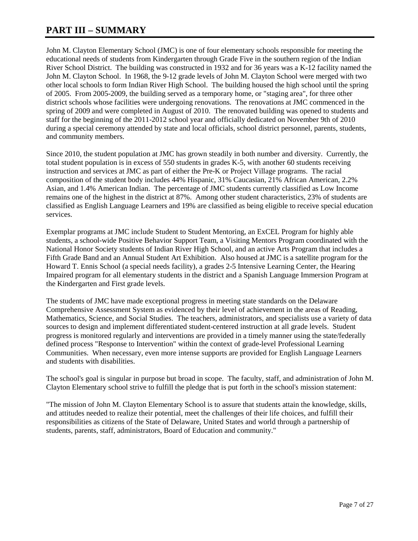### **PART III – SUMMARY**

John M. Clayton Elementary School (JMC) is one of four elementary schools responsible for meeting the educational needs of students from Kindergarten through Grade Five in the southern region of the Indian River School District. The building was constructed in 1932 and for 36 years was a K-12 facility named the John M. Clayton School. In 1968, the 9-12 grade levels of John M. Clayton School were merged with two other local schools to form Indian River High School. The building housed the high school until the spring of 2005. From 2005-2009, the building served as a temporary home, or "staging area", for three other district schools whose facilities were undergoing renovations. The renovations at JMC commenced in the spring of 2009 and were completed in August of 2010. The renovated building was opened to students and staff for the beginning of the 2011-2012 school year and officially dedicated on November 9th of 2010 during a special ceremony attended by state and local officials, school district personnel, parents, students, and community members.

Since 2010, the student population at JMC has grown steadily in both number and diversity. Currently, the total student population is in excess of 550 students in grades K-5, with another 60 students receiving instruction and services at JMC as part of either the Pre-K or Project Village programs. The racial composition of the student body includes 44% Hispanic, 31% Caucasian, 21% African American, 2.2% Asian, and 1.4% American Indian. The percentage of JMC students currently classified as Low Income remains one of the highest in the district at 87%. Among other student characteristics, 23% of students are classified as English Language Learners and 19% are classified as being eligible to receive special education services.

Exemplar programs at JMC include Student to Student Mentoring, an ExCEL Program for highly able students, a school-wide Positive Behavior Support Team, a Visiting Mentors Program coordinated with the National Honor Society students of Indian River High School, and an active Arts Program that includes a Fifth Grade Band and an Annual Student Art Exhibition. Also housed at JMC is a satellite program for the Howard T. Ennis School (a special needs facility), a grades 2-5 Intensive Learning Center, the Hearing Impaired program for all elementary students in the district and a Spanish Language Immersion Program at the Kindergarten and First grade levels.

The students of JMC have made exceptional progress in meeting state standards on the Delaware Comprehensive Assessment System as evidenced by their level of achievement in the areas of Reading, Mathematics, Science, and Social Studies. The teachers, administrators, and specialists use a variety of data sources to design and implement differentiated student-centered instruction at all grade levels. Student progress is monitored regularly and interventions are provided in a timely manner using the state/federally defined process "Response to Intervention" within the context of grade-level Professional Learning Communities. When necessary, even more intense supports are provided for English Language Learners and students with disabilities.

The school's goal is singular in purpose but broad in scope. The faculty, staff, and administration of John M. Clayton Elementary school strive to fulfill the pledge that is put forth in the school's mission statement:

"The mission of John M. Clayton Elementary School is to assure that students attain the knowledge, skills, and attitudes needed to realize their potential, meet the challenges of their life choices, and fulfill their responsibilities as citizens of the State of Delaware, United States and world through a partnership of students, parents, staff, administrators, Board of Education and community."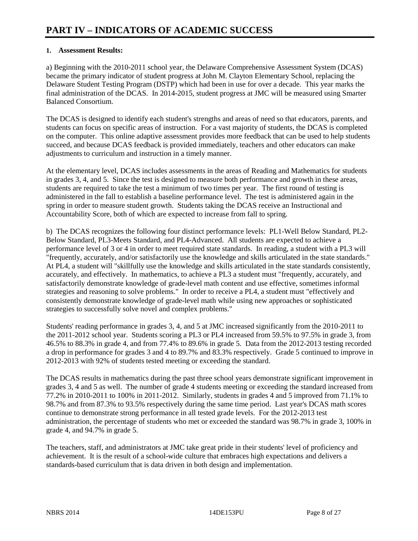### **1. Assessment Results:**

a) Beginning with the 2010-2011 school year, the Delaware Comprehensive Assessment System (DCAS) became the primary indicator of student progress at John M. Clayton Elementary School, replacing the Delaware Student Testing Program (DSTP) which had been in use for over a decade. This year marks the final administration of the DCAS. In 2014-2015, student progress at JMC will be measured using Smarter Balanced Consortium.

The DCAS is designed to identify each student's strengths and areas of need so that educators, parents, and students can focus on specific areas of instruction. For a vast majority of students, the DCAS is completed on the computer. This online adaptive assessment provides more feedback that can be used to help students succeed, and because DCAS feedback is provided immediately, teachers and other educators can make adjustments to curriculum and instruction in a timely manner.

At the elementary level, DCAS includes assessments in the areas of Reading and Mathematics for students in grades 3, 4, and 5. Since the test is designed to measure both performance and growth in these areas, students are required to take the test a minimum of two times per year. The first round of testing is administered in the fall to establish a baseline performance level. The test is administered again in the spring in order to measure student growth. Students taking the DCAS receive an Instructional and Accountability Score, both of which are expected to increase from fall to spring.

b) The DCAS recognizes the following four distinct performance levels: PL1-Well Below Standard, PL2- Below Standard, PL3-Meets Standard, and PL4-Advanced. All students are expected to achieve a performance level of 3 or 4 in order to meet required state standards. In reading, a student with a PL3 will "frequently, accurately, and/or satisfactorily use the knowledge and skills articulated in the state standards." At PL4, a student will "skillfully use the knowledge and skills articulated in the state standards consistently, accurately, and effectively. In mathematics, to achieve a PL3 a student must "frequently, accurately, and satisfactorily demonstrate knowledge of grade-level math content and use effective, sometimes informal strategies and reasoning to solve problems." In order to receive a PL4, a student must "effectively and consistently demonstrate knowledge of grade-level math while using new approaches or sophisticated strategies to successfully solve novel and complex problems."

Students' reading performance in grades 3, 4, and 5 at JMC increased significantly from the 2010-2011 to the 2011-2012 school year. Students scoring a PL3 or PL4 increased from 59.5% to 97.5% in grade 3, from 46.5% to 88.3% in grade 4, and from 77.4% to 89.6% in grade 5. Data from the 2012-2013 testing recorded a drop in performance for grades 3 and 4 to 89.7% and 83.3% respectively. Grade 5 continued to improve in 2012-2013 with 92% of students tested meeting or exceeding the standard.

The DCAS results in mathematics during the past three school years demonstrate significant improvement in grades 3, 4 and 5 as well. The number of grade 4 students meeting or exceeding the standard increased from 77.2% in 2010-2011 to 100% in 2011-2012. Similarly, students in grades 4 and 5 improved from 71.1% to 98.7% and from 87.3% to 93.5% respectively during the same time period. Last year's DCAS math scores continue to demonstrate strong performance in all tested grade levels. For the 2012-2013 test administration, the percentage of students who met or exceeded the standard was 98.7% in grade 3, 100% in grade 4, and 94.7% in grade 5.

The teachers, staff, and administrators at JMC take great pride in their students' level of proficiency and achievement. It is the result of a school-wide culture that embraces high expectations and delivers a standards-based curriculum that is data driven in both design and implementation.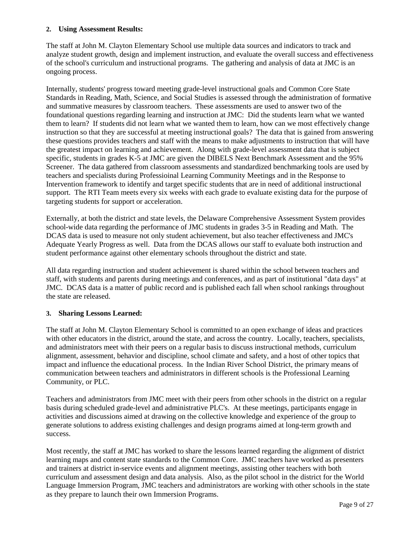### **2. Using Assessment Results:**

The staff at John M. Clayton Elementary School use multiple data sources and indicators to track and analyze student growth, design and implement instruction, and evaluate the overall success and effectiveness of the school's curriculum and instructional programs. The gathering and analysis of data at JMC is an ongoing process.

Internally, students' progress toward meeting grade-level instructional goals and Common Core State Standards in Reading, Math, Science, and Social Studies is assessed through the administration of formative and summative measures by classroom teachers. These assessments are used to answer two of the foundational questions regarding learning and instruction at JMC: Did the students learn what we wanted them to learn? If students did not learn what we wanted them to learn, how can we most effectively change instruction so that they are successful at meeting instructional goals? The data that is gained from answering these questions provides teachers and staff with the means to make adjustments to instruction that will have the greatest impact on learning and achievement. Along with grade-level assessment data that is subject specific, students in grades K-5 at JMC are given the DIBELS Next Benchmark Assessment and the 95% Screener. The data gathered from classroom assessments and standardized benchmarking tools are used by teachers and specialists during Professioinal Learning Community Meetings and in the Response to Intervention framework to identify and target specific students that are in need of additional instructional support. The RTI Team meets every six weeks with each grade to evaluate existing data for the purpose of targeting students for support or acceleration.

Externally, at both the district and state levels, the Delaware Comprehensive Assessment System provides school-wide data regarding the performance of JMC students in grades 3-5 in Reading and Math. The DCAS data is used to measure not only student achievement, but also teacher effectiveness and JMC's Adequate Yearly Progress as well. Data from the DCAS allows our staff to evaluate both instruction and student performance against other elementary schools throughout the district and state.

All data regarding instruction and student achievement is shared within the school between teachers and staff, with students and parents during meetings and conferences, and as part of institutional "data days" at JMC. DCAS data is a matter of public record and is published each fall when school rankings throughout the state are released.

### **3. Sharing Lessons Learned:**

The staff at John M. Clayton Elementary School is committed to an open exchange of ideas and practices with other educators in the district, around the state, and across the country. Locally, teachers, specialists, and administrators meet with their peers on a regular basis to discuss instructional methods, curriculum alignment, assessment, behavior and discipline, school climate and safety, and a host of other topics that impact and influence the educational process. In the Indian River School District, the primary means of communication between teachers and administrators in different schools is the Professional Learning Community, or PLC.

Teachers and administrators from JMC meet with their peers from other schools in the district on a regular basis during scheduled grade-level and administrative PLC's. At these meetings, participants engage in activities and discussions aimed at drawing on the collective knowledge and experience of the group to generate solutions to address existing challenges and design programs aimed at long-term growth and success.

Most recently, the staff at JMC has worked to share the lessons learned regarding the alignment of district learning maps and content state standards to the Common Core. JMC teachers have worked as presenters and trainers at district in-service events and alignment meetings, assisting other teachers with both curriculum and assessment design and data analysis. Also, as the pilot school in the district for the World Language Immersion Program, JMC teachers and administrators are working with other schools in the state as they prepare to launch their own Immersion Programs.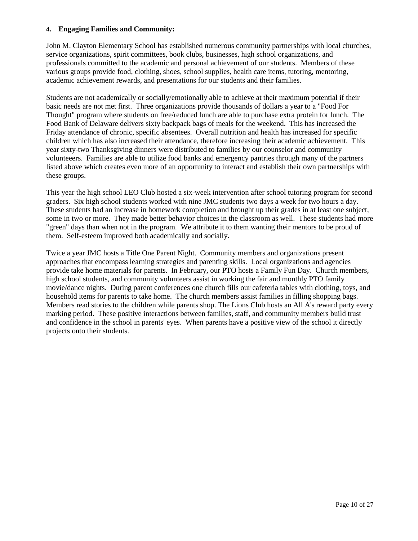### **4. Engaging Families and Community:**

John M. Clayton Elementary School has established numerous community partnerships with local churches, service organizations, spirit committees, book clubs, businesses, high school organizations, and professionals committed to the academic and personal achievement of our students. Members of these various groups provide food, clothing, shoes, school supplies, health care items, tutoring, mentoring, academic achievement rewards, and presentations for our students and their families.

Students are not academically or socially/emotionally able to achieve at their maximum potential if their basic needs are not met first. Three organizations provide thousands of dollars a year to a "Food For Thought" program where students on free/reduced lunch are able to purchase extra protein for lunch. The Food Bank of Delaware delivers sixty backpack bags of meals for the weekend. This has increased the Friday attendance of chronic, specific absentees. Overall nutrition and health has increased for specific children which has also increased their attendance, therefore increasing their academic achievement. This year sixty-two Thanksgiving dinners were distributed to families by our counselor and community volunteeers. Families are able to utilize food banks and emergency pantries through many of the partners listed above which creates even more of an opportunity to interact and establish their own partnerships with these groups.

This year the high school LEO Club hosted a six-week intervention after school tutoring program for second graders. Six high school students worked with nine JMC students two days a week for two hours a day. These students had an increase in homework completion and brought up their grades in at least one subject, some in two or more. They made better behavior choices in the classroom as well. These students had more "green" days than when not in the program. We attribute it to them wanting their mentors to be proud of them. Self-esteem improved both academically and socially.

Twice a year JMC hosts a Title One Parent Night. Community members and organizations present approaches that encompass learning strategies and parenting skills. Local organizations and agencies provide take home materials for parents. In February, our PTO hosts a Family Fun Day. Church members, high school students, and community volunteers assist in working the fair and monthly PTO family movie/dance nights. During parent conferences one church fills our cafeteria tables with clothing, toys, and household items for parents to take home. The church members assist families in filling shopping bags. Members read stories to the children while parents shop. The Lions Club hosts an All A's reward party every marking period. These positive interactions between families, staff, and community members build trust and confidence in the school in parents' eyes. When parents have a positive view of the school it directly projects onto their students.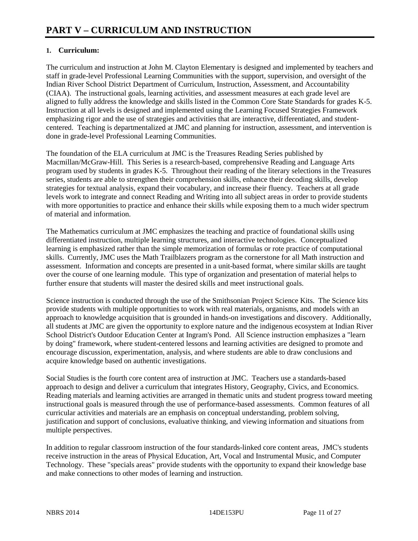### **1. Curriculum:**

The curriculum and instruction at John M. Clayton Elementary is designed and implemented by teachers and staff in grade-level Professional Learning Communities with the support, supervision, and oversight of the Indian River School District Department of Curriculum, Instruction, Assessment, and Accountability (CIAA). The instructional goals, learning activities, and assessment measures at each grade level are aligned to fully address the knowledge and skills listed in the Common Core State Standards for grades K-5. Instruction at all levels is designed and implemented using the Learning Focused Strategies Framework emphasizing rigor and the use of strategies and activities that are interactive, differentiated, and studentcentered. Teaching is departmentalized at JMC and planning for instruction, assessment, and intervention is done in grade-level Professional Learning Communities.

The foundation of the ELA curriculum at JMC is the Treasures Reading Series published by Macmillan/McGraw-Hill. This Series is a research-based, comprehensive Reading and Language Arts program used by students in grades K-5. Throughout their reading of the literary selections in the Treasures series, students are able to strengthen their comprehension skills, enhance their decoding skills, develop strategies for textual analysis, expand their vocabulary, and increase their fluency. Teachers at all grade levels work to integrate and connect Reading and Writing into all subject areas in order to provide students with more opportunities to practice and enhance their skills while exposing them to a much wider spectrum of material and information.

The Mathematics curriculum at JMC emphasizes the teaching and practice of foundational skills using differentiated instruction, multiple learning structures, and interactive technologies. Conceptualized learning is emphasized rather than the simple memorization of formulas or rote practice of computational skills. Currently, JMC uses the Math Trailblazers program as the cornerstone for all Math instruction and assessment. Information and concepts are presented in a unit-based format, where similar skills are taught over the course of one learning module. This type of organization and presentation of material helps to further ensure that students will master the desired skills and meet instructional goals.

Science instruction is conducted through the use of the Smithsonian Project Science Kits. The Science kits provide students with multiple opportunities to work with real materials, organisms, and models with an approach to knowledge acquisition that is grounded in hands-on investigations and discovery. Additionally, all students at JMC are given the opportunity to explore nature and the indigenous ecosystem at Indian River School District's Outdoor Education Center at Ingram's Pond. All Science instruction emphasizes a "learn by doing" framework, where student-centered lessons and learning activities are designed to promote and encourage discussion, experimentation, analysis, and where students are able to draw conclusions and acquire knowledge based on authentic investigations.

Social Studies is the fourth core content area of instruction at JMC. Teachers use a standards-based approach to design and deliver a curriculum that integrates History, Geography, Civics, and Economics. Reading materials and learning activities are arranged in thematic units and student progress toward meeting instructional goals is measured through the use of performance-based assessments. Common features of all curricular activities and materials are an emphasis on conceptual understanding, problem solving, justification and support of conclusions, evaluative thinking, and viewing information and situations from multiple perspectives.

In addition to regular classroom instruction of the four standards-linked core content areas, JMC's students receive instruction in the areas of Physical Education, Art, Vocal and Instrumental Music, and Computer Technology. These "specials areas" provide students with the opportunity to expand their knowledge base and make connections to other modes of learning and instruction.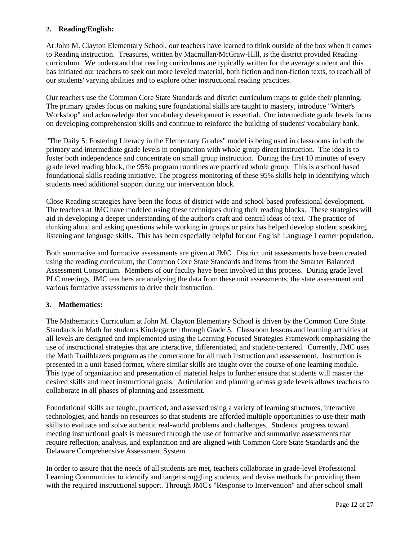### **2. Reading/English:**

At John M. Clayton Elementary School, our teachers have learned to think outside of the box when it comes to Reading instruction. Treasures, written by Macmillan/McGraw-Hill, is the district provided Reading curriculum. We understand that reading curriculums are typically written for the average student and this has initiated our teachers to seek out more leveled material, both fiction and non-fiction texts, to reach all of our students' varying abilities and to explore other instructional reading practices.

Our teachers use the Common Core State Standards and district curriculum maps to guide their planning. The primary grades focus on making sure foundational skills are taught to mastery, introduce "Writer's Workshop" and acknowledge that vocabulary development is essential. Our intermediate grade levels focus on developing comprehension skills and continue to reinforce the building of students' vocabulary bank.

"The Daily 5: Fostering Literacy in the Elementary Grades" model is being used in classrooms in both the primary and intermediate grade levels in conjunction with whole group direct instruction. The idea is to foster both independence and concentrate on small group instruction. During the first 10 minutes of every grade level reading block, the 95% program rountines are practiced whole group. This is a school based foundational skills reading initiative. The progress monitoring of these 95% skills help in identifying which students need additional support during our intervention block.

Close Reading strategies have been the focus of district-wide and school-based professional development. The teachers at JMC have modeled using these techniques during their reading blocks. These strategies will aid in developing a deeper understanding of the author's craft and central ideas of text. The practice of thinking aloud and asking questions while working in groups or pairs has helped develop student speaking, listening and language skills. This has been especially helpful for our English Language Learner population.

Both summative and formative assessments are given at JMC. District unit assessments have been created using the reading curriculum, the Common Core State Standards and items from the Smarter Balanced Assessment Consortium. Members of our faculty have been involved in this process. During grade level PLC meetings, JMC teachers are analyzing the data from these unit assessments, the state assessment and various formative assessments to drive their instruction.

### **3. Mathematics:**

The Mathematics Curriculum at John M. Clayton Elementary School is driven by the Common Core State Standards in Math for students Kindergarten through Grade 5. Classroom lessons and learning activities at all levels are designed and implemented using the Learning Focused Strategies Framework emphasizing the use of instructional strategies that are interactive, differentiated, and student-centered. Currently, JMC uses the Math Trailblazers program as the cornerstone for all math instruction and assessement. Instruction is presented in a unit-based format, where similar skills are taught over the course of one learning module. This type of organization and presentation of material helps to further ensure that students will master the desired skills and meet instructional goals. Articulation and planning across grade levels allows teachers to collaborate in all phases of planning and assessment.

Foundational skills are taught, practiced, and assessed using a variety of learning structures, interactive technologies, and hands-on resources so that students are afforded multiple opportunities to use their math skills to evaluate and solve authentic real-world problems and challenges. Students' progress toward meeting instructional goals is measured through the use of formative and summative assessments that require reflection, analysis, and explanation and are aligned with Common Core State Standards and the Delaware Comprehensive Assessment System.

In order to assure that the needs of all students are met, teachers collaborate in grade-level Professional Learning Communities to identify and target struggling students, and devise methods for providing them with the required instructional support. Through JMC's "Response to Intervention" and after school small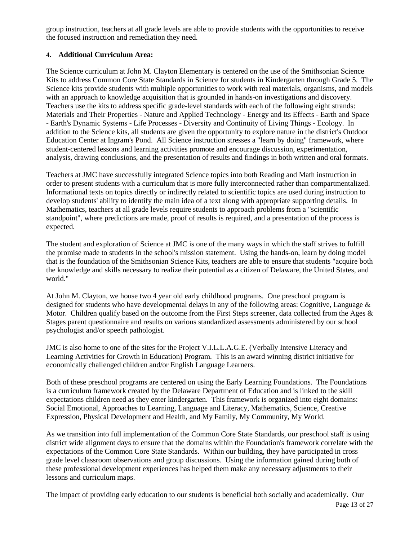group instruction, teachers at all grade levels are able to provide students with the opportunities to receive the focused instruction and remediation they need.

### **4. Additional Curriculum Area:**

The Science curriculum at John M. Clayton Elementary is centered on the use of the Smithsonian Science Kits to address Common Core State Standards in Science for students in Kindergarten through Grade 5. The Science kits provide students with multiple opportunities to work with real materials, organisms, and models with an approach to knowledge acquisition that is grounded in hands-on investigations and discovery. Teachers use the kits to address specific grade-level standards with each of the following eight strands: Materials and Their Properties - Nature and Applied Technology - Energy and Its Effects - Earth and Space - Earth's Dynamic Systems - Life Processes - Diversity and Continuity of Living Things - Ecology. In addition to the Science kits, all students are given the opportunity to explore nature in the district's Outdoor Education Center at Ingram's Pond. All Science instruction stresses a "learn by doing" framework, where student-centered lessons and learning activities promote and encourage discussion, experimentation, analysis, drawing conclusions, and the presentation of results and findings in both written and oral formats.

Teachers at JMC have successfully integrated Science topics into both Reading and Math instruction in order to present students with a curriculum that is more fully interconnected rather than compartmentalized. Informational texts on topics directly or indirectly related to scientific topics are used during instruction to develop students' ability to identify the main idea of a text along with appropriate supporting details. In Mathematics, teachers at all grade levels require students to approach problems from a "scientific standpoint", where predictions are made, proof of results is required, and a presentation of the process is expected.

The student and exploration of Science at JMC is one of the many ways in which the staff strives to fulfill the promise made to students in the school's mission statement. Using the hands-on, learn by doing model that is the foundation of the Smithsonian Science Kits, teachers are able to ensure that students "acquire both the knowledge and skills necessary to realize their potential as a citizen of Delaware, the United States, and world."

At John M. Clayton, we house two 4 year old early childhood programs. One preschool program is designed for students who have developmental delays in any of the following areas: Cognitive, Language & Motor. Children qualify based on the outcome from the First Steps screener, data collected from the Ages  $\&$ Stages parent questionnaire and results on various standardized assessments administered by our school psychologist and/or speech pathologist.

JMC is also home to one of the sites for the Project V.I.L.L.A.G.E. (Verbally Intensive Literacy and Learning Activities for Growth in Education) Program. This is an award winning district initiative for economically challenged children and/or English Language Learners.

Both of these preschool programs are centered on using the Early Learning Foundations. The Foundations is a curriculum framework created by the Delaware Department of Education and is linked to the skill expectations children need as they enter kindergarten. This framework is organized into eight domains: Social Emotional, Approaches to Learning, Language and Literacy, Mathematics, Science, Creative Expression, Physical Development and Health, and My Family, My Community, My World.

As we transition into full implementation of the Common Core State Standards, our preschool staff is using district wide alignment days to ensure that the domains within the Foundation's framework correlate with the expectations of the Common Core State Standards. Within our building, they have participated in cross grade level classroom observations and group discussions. Using the information gained during both of these professional development experiences has helped them make any necessary adjustments to their lessons and curriculum maps.

The impact of providing early education to our students is beneficial both socially and academically. Our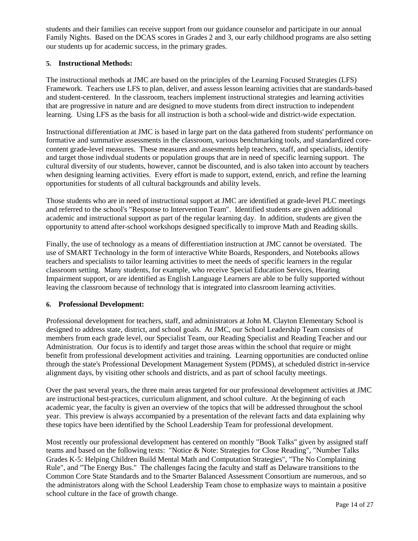students and their families can receive support from our guidance counselor and participate in our annual Family Nights. Based on the DCAS scores in Grades 2 and 3, our early childhood programs are also setting our students up for academic success, in the primary grades.

### **5. Instructional Methods:**

The instructional methods at JMC are based on the principles of the Learning Focused Strategies (LFS) Framework. Teachers use LFS to plan, deliver, and assess lesson learning activities that are standards-based and student-centered. In the classroom, teachers implement instructional strategies and learning activities that are progressive in nature and are designed to move students from direct instruction to independent learning. Using LFS as the basis for all instruction is both a school-wide and district-wide expectation.

Instructional differentiation at JMC is based in large part on the data gathered from students' performance on formative and summative assessments in the classroom, various benchmarking tools, and standardized corecontent grade-level measures. These measures and assesments help teachers, staff, and specialists, identify and target those indivdual students or population groups that are in need of specific learning support. The cultural diversity of our students, however, cannot be discounted, and is also taken into account by teachers when designing learning activities. Every effort is made to support, extend, enrich, and refine the learning opportunities for students of all cultural backgrounds and ability levels.

Those students who are in need of instructional support at JMC are identified at grade-level PLC meetings and referred to the school's "Response to Intervention Team". Identified students are given additional academic and instructional support as part of the regular learning day. In addition, students are given the opportunity to attend after-school workshops designed specifically to improve Math and Reading skills.

Finally, the use of technology as a means of differentiation instruction at JMC cannot be overstated. The use of SMART Technology in the form of interactive White Boards, Responders, and Notebooks allows teachers and specialists to tailor learning activities to meet the needs of specific learners in the regular classroom setting. Many students, for example, who receive Special Education Services, Hearing Impairment support, or are identified as English Language Learners are able to be fully supported without leaving the classroom because of technology that is integrated into classroom learning activities.

### **6. Professional Development:**

Professional development for teachers, staff, and administrators at John M. Clayton Elementary School is designed to address state, district, and school goals. At JMC, our School Leadership Team consists of members from each grade level, our Specialist Team, our Reading Specialist and Reading Teacher and our Administration. Our focus is to identify and target those areas within the school that require or might benefit from professional development activities and training. Learning opportunities are conducted online through the state's Professional Development Management System (PDMS), at scheduled district in-service alignment days, by visiting other schools and districts, and as part of school faculty meetings.

Over the past several years, the three main areas targeted for our professional development activities at JMC are instructional best-practices, curriculum alignment, and school culture. At the beginning of each academic year, the faculty is given an overview of the topics that will be addressed throughout the school year. This preview is always accompanied by a presentation of the relevant facts and data explaining why these topics have been identified by the School Leadership Team for professional development.

Most recently our professional development has centered on monthly "Book Talks" given by assigned staff teams and based on the following texts: "Notice & Note: Strategies for Close Reading", "Number Talks Grades K-5: Helping Children Build Mental Math and Computation Strategies", "The No Complaining Rule", and "The Energy Bus." The challenges facing the faculty and staff as Delaware transitions to the Common Core State Standards and to the Smarter Balanced Assessment Consortium are numerous, and so the administrators along with the School Leadership Team chose to emphasize ways to maintain a positive school culture in the face of growth change.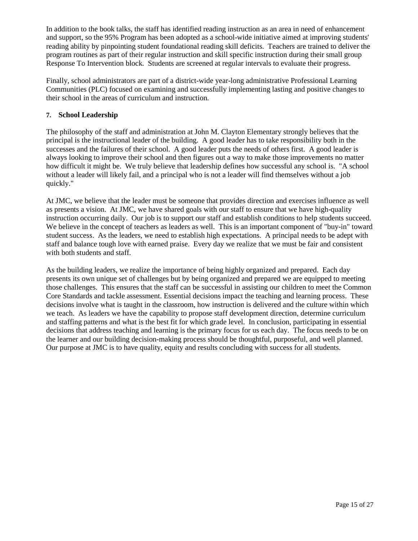In addition to the book talks, the staff has identified reading instruction as an area in need of enhancement and support, so the 95% Program has been adopted as a school-wide initiative aimed at improving students' reading ability by pinpointing student foundational reading skill deficits. Teachers are trained to deliver the program routines as part of their regular instruction and skill specific instruction during their small group Response To Intervention block. Students are screened at regular intervals to evaluate their progress.

Finally, school administrators are part of a district-wide year-long administrative Professional Learning Communities (PLC) focused on examining and successfully implementing lasting and positive changes to their school in the areas of curriculum and instruction.

### **7. School Leadership**

The philosophy of the staff and administration at John M. Clayton Elementary strongly believes that the principal is the instructional leader of the building. A good leader has to take responsibility both in the successes and the failures of their school. A good leader puts the needs of others first. A good leader is always looking to improve their school and then figures out a way to make those improvements no matter how difficult it might be. We truly believe that leadership defines how successful any school is. "A school without a leader will likely fail, and a principal who is not a leader will find themselves without a job quickly."

At JMC, we believe that the leader must be someone that provides direction and exercises influence as well as presents a vision. At JMC, we have shared goals with our staff to ensure that we have high-quality instruction occurring daily. Our job is to support our staff and establish conditions to help students succeed. We believe in the concept of teachers as leaders as well. This is an important component of "buy-in" toward student success. As the leaders, we need to establish high expectations. A principal needs to be adept with staff and balance tough love with earned praise. Every day we realize that we must be fair and consistent with both students and staff.

As the building leaders, we realize the importance of being highly organized and prepared. Each day presents its own unique set of challenges but by being organized and prepared we are equipped to meeting those challenges. This ensures that the staff can be successful in assisting our children to meet the Common Core Standards and tackle assessment. Essential decisions impact the teaching and learning process. These decisions involve what is taught in the classroom, how instruction is delivered and the culture within which we teach. As leaders we have the capability to propose staff development direction, determine curriculum and staffing patterns and what is the best fit for which grade level. In conclusion, participating in essential decisions that address teaching and learning is the primary focus for us each day. The focus needs to be on the learner and our building decision-making process should be thoughtful, purposeful, and well planned. Our purpose at JMC is to have quality, equity and results concluding with success for all students.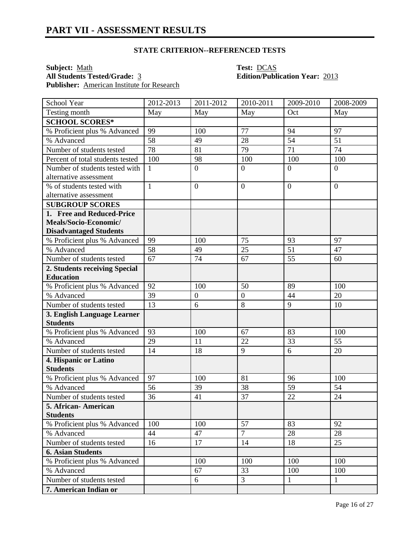**Subject:** <u>Math</u> **Test:** <u>DCAS</u><br> **All Students Tested/Grade:** 3 **Edition/Publ** Publisher: **American Institute for Research** 

# **All Students Tested/Grade:** 3 **Edition/Publication Year:** 2013

| School Year                      | 2012-2013       | $2011 - 2012$    | 2010-2011        | 2009-2010       | 2008-2009      |
|----------------------------------|-----------------|------------------|------------------|-----------------|----------------|
| Testing month                    | May             | May              | May              | Oct             | May            |
| <b>SCHOOL SCORES*</b>            |                 |                  |                  |                 |                |
| % Proficient plus % Advanced     | 99              | 100              | 77               | 94              | 97             |
| % Advanced                       | $\overline{58}$ | 49               | 28               | $\overline{54}$ | 51             |
| Number of students tested        | 78              | 81               | 79               | 71              | 74             |
| Percent of total students tested | 100             | 98               | 100              | 100             | 100            |
| Number of students tested with   | $\mathbf{1}$    | $\boldsymbol{0}$ | $\overline{0}$   | $\overline{0}$  | $\overline{0}$ |
| alternative assessment           |                 |                  |                  |                 |                |
| % of students tested with        | $\mathbf{1}$    | $\mathbf{0}$     | $\mathbf{0}$     | $\overline{0}$  | $\overline{0}$ |
| alternative assessment           |                 |                  |                  |                 |                |
| <b>SUBGROUP SCORES</b>           |                 |                  |                  |                 |                |
| 1. Free and Reduced-Price        |                 |                  |                  |                 |                |
| Meals/Socio-Economic/            |                 |                  |                  |                 |                |
| <b>Disadvantaged Students</b>    |                 |                  |                  |                 |                |
| % Proficient plus % Advanced     | 99              | 100              | 75               | 93              | 97             |
| % Advanced                       | 58              | 49               | 25               | 51              | 47             |
| Number of students tested        | 67              | 74               | 67               | 55              | 60             |
| 2. Students receiving Special    |                 |                  |                  |                 |                |
| <b>Education</b>                 |                 |                  |                  |                 |                |
| % Proficient plus % Advanced     | 92              | 100              | 50               | 89              | 100            |
| % Advanced                       | 39              | $\boldsymbol{0}$ | $\boldsymbol{0}$ | 44              | 20             |
| Number of students tested        | 13              | 6                | 8                | 9               | 10             |
| 3. English Language Learner      |                 |                  |                  |                 |                |
| <b>Students</b>                  |                 |                  |                  |                 |                |
| % Proficient plus % Advanced     | 93              | 100              | 67               | 83              | 100            |
| % Advanced                       | 29              | 11               | 22               | 33              | 55             |
| Number of students tested        | 14              | 18               | 9                | 6               | 20             |
| 4. Hispanic or Latino            |                 |                  |                  |                 |                |
| <b>Students</b>                  |                 |                  |                  |                 |                |
| % Proficient plus % Advanced     | 97              | 100              | 81               | 96              | 100            |
| % Advanced                       | 56              | 39               | 38               | 59              | 54             |
| Number of students tested        | 36              | 41               | 37               | 22              | 24             |
| 5. African- American             |                 |                  |                  |                 |                |
| <b>Students</b>                  |                 |                  |                  |                 |                |
| % Proficient plus % Advanced     | 100             | 100              | 57               | 83              | 92             |
| % Advanced                       | 44              | 47               | $\overline{7}$   | 28              | 28             |
| Number of students tested        | 16              | 17               | 14               | 18              | 25             |
| <b>6. Asian Students</b>         |                 |                  |                  |                 |                |
| % Proficient plus % Advanced     |                 | 100              | 100              | 100             | 100            |
| % Advanced                       |                 | 67               | 33               | 100             | 100            |
| Number of students tested        |                 | 6                | $\overline{3}$   | $\mathbf{1}$    | $\mathbf{1}$   |
| 7. American Indian or            |                 |                  |                  |                 |                |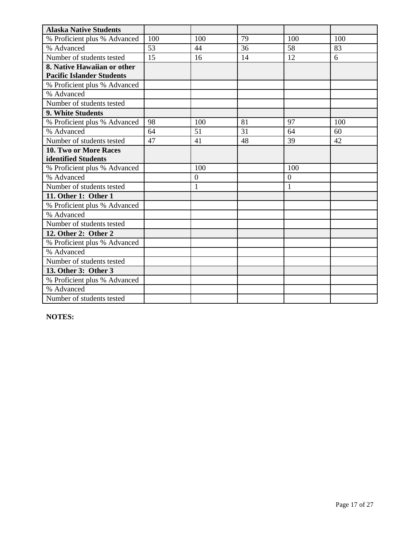| <b>Alaska Native Students</b>    |     |                |    |                |     |
|----------------------------------|-----|----------------|----|----------------|-----|
| % Proficient plus % Advanced     | 100 | 100            | 79 | 100            | 100 |
| % Advanced                       | 53  | 44             | 36 | 58             | 83  |
| Number of students tested        | 15  | 16             | 14 | 12             | 6   |
| 8. Native Hawaiian or other      |     |                |    |                |     |
| <b>Pacific Islander Students</b> |     |                |    |                |     |
| % Proficient plus % Advanced     |     |                |    |                |     |
| % Advanced                       |     |                |    |                |     |
| Number of students tested        |     |                |    |                |     |
| 9. White Students                |     |                |    |                |     |
| % Proficient plus % Advanced     | 98  | 100            | 81 | 97             | 100 |
| % Advanced                       | 64  | 51             | 31 | 64             | 60  |
| Number of students tested        | 47  | 41             | 48 | 39             | 42  |
| 10. Two or More Races            |     |                |    |                |     |
| identified Students              |     |                |    |                |     |
| % Proficient plus % Advanced     |     | 100            |    | 100            |     |
| % Advanced                       |     | $\overline{0}$ |    | $\overline{0}$ |     |
| Number of students tested        |     | 1              |    | $\mathbf{1}$   |     |
| 11. Other 1: Other 1             |     |                |    |                |     |
| % Proficient plus % Advanced     |     |                |    |                |     |
| % Advanced                       |     |                |    |                |     |
| Number of students tested        |     |                |    |                |     |
| 12. Other 2: Other 2             |     |                |    |                |     |
| % Proficient plus % Advanced     |     |                |    |                |     |
| % Advanced                       |     |                |    |                |     |
| Number of students tested        |     |                |    |                |     |
| 13. Other 3: Other 3             |     |                |    |                |     |
| % Proficient plus % Advanced     |     |                |    |                |     |
| % Advanced                       |     |                |    |                |     |
| Number of students tested        |     |                |    |                |     |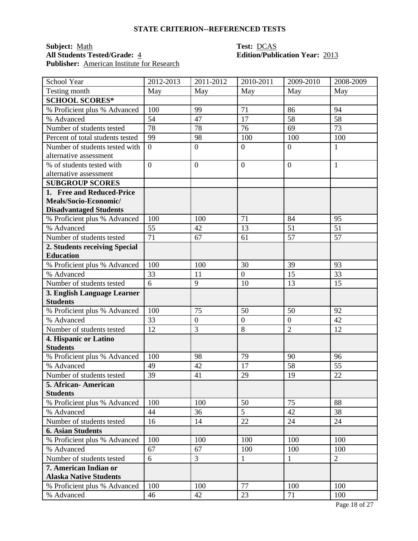### **Subject:** <u>Math</u> **Test:** <u>DCAS</u><br> **All Students Tested/Grade:** 4 **Test: DCAS**<br> **Edition/Publ Publisher:** American Institute for Research

# **All Students Tested/Grade:** 4 **Edition/Publication Year:** 2013

| School Year                                    | 2012-2013       | 2011-2012        | 2010-2011          | 2009-2010            | 2008-2009      |
|------------------------------------------------|-----------------|------------------|--------------------|----------------------|----------------|
| Testing month                                  | May             | May              | May                | May                  | May            |
| <b>SCHOOL SCORES*</b>                          |                 |                  |                    |                      |                |
| % Proficient plus % Advanced                   | 100             | 99               | 71                 | 86                   | 94             |
| % Advanced                                     | 54              | 47               | 17                 | 58                   | 58             |
| Number of students tested                      | 78              | 78               | 76                 | 69                   | 73             |
| Percent of total students tested               | 99              | 98               | 100                | 100                  | 100            |
| Number of students tested with                 | $\overline{0}$  | $\boldsymbol{0}$ | $\mathbf{0}$       | $\overline{0}$       | $\mathbf{1}$   |
| alternative assessment                         |                 |                  |                    |                      |                |
| % of students tested with                      | $\overline{0}$  | $\boldsymbol{0}$ | $\overline{0}$     | $\overline{0}$       | $\mathbf{1}$   |
| alternative assessment                         |                 |                  |                    |                      |                |
| <b>SUBGROUP SCORES</b>                         |                 |                  |                    |                      |                |
| 1. Free and Reduced-Price                      |                 |                  |                    |                      |                |
| Meals/Socio-Economic/                          |                 |                  |                    |                      |                |
| <b>Disadvantaged Students</b>                  |                 |                  |                    |                      |                |
| % Proficient plus % Advanced                   | 100             | 100              | 71                 | 84                   | 95             |
| % Advanced                                     | 55              | 42               | 13                 | 51                   | 51             |
| Number of students tested                      | 71              | 67               | 61                 | 57                   | 57             |
| 2. Students receiving Special                  |                 |                  |                    |                      |                |
| <b>Education</b>                               |                 |                  |                    |                      |                |
| % Proficient plus % Advanced                   | 100             | 100              | 30                 | 39                   | 93             |
| % Advanced                                     | 33              | 11               | $\mathbf{0}$       | 15                   | 33             |
| Number of students tested                      | 6               | 9                | 10                 | 13                   | 15             |
| 3. English Language Learner<br><b>Students</b> |                 |                  |                    |                      |                |
|                                                |                 |                  |                    |                      |                |
| % Proficient plus % Advanced<br>% Advanced     | 100             | 75               | 50<br>$\mathbf{0}$ | 50<br>$\overline{0}$ | 92<br>42       |
|                                                | 33              | $\boldsymbol{0}$ | 8                  | $\overline{2}$       |                |
| Number of students tested                      | 12              | 3                |                    |                      | 12             |
| 4. Hispanic or Latino<br><b>Students</b>       |                 |                  |                    |                      |                |
| % Proficient plus % Advanced                   | 100             | 98               | 79                 | 90                   | 96             |
| % Advanced                                     | 49              | 42               | 17                 | 58                   | 55             |
| Number of students tested                      | $\overline{39}$ | 41               | 29                 | 19                   | 22             |
| 5. African - American                          |                 |                  |                    |                      |                |
| <b>Students</b>                                |                 |                  |                    |                      |                |
| % Proficient plus % Advanced                   | 100             | 100              | 50                 | 75                   | 88             |
| % Advanced                                     | 44              | 36               | $\overline{5}$     | 42                   | 38             |
| Number of students tested                      | 16              | 14               | 22                 | 24                   | 24             |
| <b>6. Asian Students</b>                       |                 |                  |                    |                      |                |
| % Proficient plus % Advanced                   | 100             | 100              | 100                | 100                  | 100            |
| % Advanced                                     | 67              | 67               | 100                | 100                  | 100            |
| Number of students tested                      | 6               | 3                | $\mathbf{1}$       | $\mathbf{1}$         | $\overline{2}$ |
| 7. American Indian or                          |                 |                  |                    |                      |                |
| <b>Alaska Native Students</b>                  |                 |                  |                    |                      |                |
| % Proficient plus % Advanced                   | 100             | 100              | 77                 | 100                  | 100            |
| % Advanced                                     | 46              | 42               | 23                 | 71                   | 100            |
|                                                |                 |                  |                    |                      |                |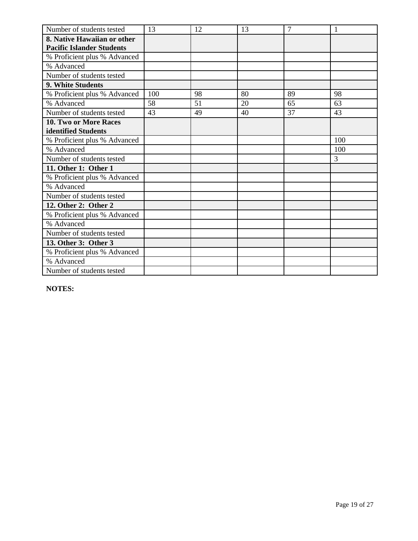| Number of students tested        | 13  | 12 | 13 | $\overline{7}$ | 1   |
|----------------------------------|-----|----|----|----------------|-----|
| 8. Native Hawaiian or other      |     |    |    |                |     |
| <b>Pacific Islander Students</b> |     |    |    |                |     |
| % Proficient plus % Advanced     |     |    |    |                |     |
| % Advanced                       |     |    |    |                |     |
| Number of students tested        |     |    |    |                |     |
| 9. White Students                |     |    |    |                |     |
| % Proficient plus % Advanced     | 100 | 98 | 80 | 89             | 98  |
| % Advanced                       | 58  | 51 | 20 | 65             | 63  |
| Number of students tested        | 43  | 49 | 40 | 37             | 43  |
| <b>10. Two or More Races</b>     |     |    |    |                |     |
| identified Students              |     |    |    |                |     |
| % Proficient plus % Advanced     |     |    |    |                | 100 |
| % Advanced                       |     |    |    |                | 100 |
| Number of students tested        |     |    |    |                | 3   |
| 11. Other 1: Other 1             |     |    |    |                |     |
| % Proficient plus % Advanced     |     |    |    |                |     |
| % Advanced                       |     |    |    |                |     |
| Number of students tested        |     |    |    |                |     |
| 12. Other 2: Other 2             |     |    |    |                |     |
| % Proficient plus % Advanced     |     |    |    |                |     |
| % Advanced                       |     |    |    |                |     |
| Number of students tested        |     |    |    |                |     |
| 13. Other 3: Other 3             |     |    |    |                |     |
| % Proficient plus % Advanced     |     |    |    |                |     |
| % Advanced                       |     |    |    |                |     |
| Number of students tested        |     |    |    |                |     |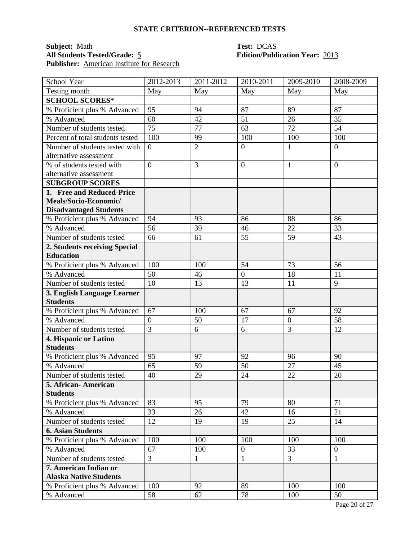### **Subject:** <u>Math</u><br> **All Students Tested/Grade:** 5 **Test: DCAS**<br> **Edition/Publication Year:** 2013 **All Students Tested/Grade:** 5 **Edition/Publication Year:** 2013 **Publisher:** American Institute for Research

| School Year                                    | 2012-2013      | 2011-2012      | 2010-2011        | 2009-2010      | 2008-2009        |
|------------------------------------------------|----------------|----------------|------------------|----------------|------------------|
| Testing month                                  | May            | May            | May              | May            | May              |
| <b>SCHOOL SCORES*</b>                          |                |                |                  |                |                  |
| % Proficient plus % Advanced                   | 95             | 94             | 87               | 89             | 87               |
| % Advanced                                     | 60             | 42             | 51               | 26             | 35               |
| Number of students tested                      | 75             | 77             | 63               | 72             | 54               |
| Percent of total students tested               | 100            | 99             | 100              | 100            | 100              |
| Number of students tested with                 | $\overline{0}$ | $\overline{2}$ | $\overline{0}$   | $\mathbf{1}$   | $\overline{0}$   |
| alternative assessment                         |                |                |                  |                |                  |
| % of students tested with                      | $\overline{0}$ | 3              | $\boldsymbol{0}$ | $\mathbf{1}$   | $\overline{0}$   |
| alternative assessment                         |                |                |                  |                |                  |
| <b>SUBGROUP SCORES</b>                         |                |                |                  |                |                  |
| 1. Free and Reduced-Price                      |                |                |                  |                |                  |
| Meals/Socio-Economic/                          |                |                |                  |                |                  |
| <b>Disadvantaged Students</b>                  |                |                |                  |                |                  |
| % Proficient plus % Advanced                   | 94             | 93             | 86               | 88             | 86               |
| % Advanced                                     | 56             | 39             | 46               | 22             | 33               |
| Number of students tested                      | 66             | 61             | 55               | 59             | 43               |
| 2. Students receiving Special                  |                |                |                  |                |                  |
| <b>Education</b>                               |                |                |                  |                |                  |
| % Proficient plus % Advanced                   | 100            | 100            | 54               | 73             | 56               |
| % Advanced                                     | 50             | 46             | $\boldsymbol{0}$ | 18             | 11               |
| Number of students tested                      | 10             | 13             | 13               | 11             | 9                |
| 3. English Language Learner<br><b>Students</b> |                |                |                  |                |                  |
| % Proficient plus % Advanced                   | 67             | 100            | 67               | 67             | 92               |
| % Advanced                                     | $\overline{0}$ | 50             | 17               | $\overline{0}$ | 58               |
| Number of students tested                      | $\overline{3}$ | 6              | 6                | 3              | 12               |
| 4. Hispanic or Latino                          |                |                |                  |                |                  |
| <b>Students</b>                                |                |                |                  |                |                  |
| % Proficient plus % Advanced                   | 95             | 97             | 92               | 96             | 90               |
| % Advanced                                     | 65             | 59             | 50               | 27             | 45               |
| Number of students tested                      | 40             | 29             | 24               | 22             | 20               |
| 5. African-American                            |                |                |                  |                |                  |
| <b>Students</b>                                |                |                |                  |                |                  |
| % Proficient plus % Advanced                   | 83             | 95             | 79               | 80             | 71               |
| % Advanced                                     | 33             | 26             | 42               | 16             | 21               |
| Number of students tested                      | 12             | 19             | 19               | 25             | 14               |
| <b>6. Asian Students</b>                       |                |                |                  |                |                  |
| % Proficient plus % Advanced                   | 100            | 100            | 100              | 100            | 100              |
| % Advanced                                     | 67             | 100            | $\overline{0}$   | 33             | $\boldsymbol{0}$ |
| Number of students tested                      | $\overline{3}$ | 1              | $\mathbf{1}$     | $\overline{3}$ | 1                |
| 7. American Indian or                          |                |                |                  |                |                  |
| <b>Alaska Native Students</b>                  |                |                |                  |                |                  |
| % Proficient plus % Advanced                   | 100            | 92             | 89               | 100            | 100              |
| % Advanced                                     | 58             | 62             | 78               | 100            | 50               |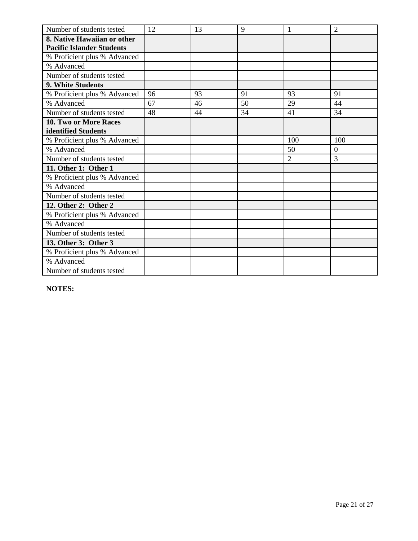| Number of students tested        | 12 | 13 | 9  |                | $\overline{2}$ |
|----------------------------------|----|----|----|----------------|----------------|
| 8. Native Hawaiian or other      |    |    |    |                |                |
| <b>Pacific Islander Students</b> |    |    |    |                |                |
| % Proficient plus % Advanced     |    |    |    |                |                |
| % Advanced                       |    |    |    |                |                |
| Number of students tested        |    |    |    |                |                |
| 9. White Students                |    |    |    |                |                |
| % Proficient plus % Advanced     | 96 | 93 | 91 | 93             | 91             |
| % Advanced                       | 67 | 46 | 50 | 29             | 44             |
| Number of students tested        | 48 | 44 | 34 | 41             | 34             |
| <b>10. Two or More Races</b>     |    |    |    |                |                |
| identified Students              |    |    |    |                |                |
| % Proficient plus % Advanced     |    |    |    | 100            | 100            |
| % Advanced                       |    |    |    | 50             | $\Omega$       |
| Number of students tested        |    |    |    | $\overline{2}$ | 3              |
| 11. Other 1: Other 1             |    |    |    |                |                |
| % Proficient plus % Advanced     |    |    |    |                |                |
| % Advanced                       |    |    |    |                |                |
| Number of students tested        |    |    |    |                |                |
| 12. Other 2: Other 2             |    |    |    |                |                |
| % Proficient plus % Advanced     |    |    |    |                |                |
| % Advanced                       |    |    |    |                |                |
| Number of students tested        |    |    |    |                |                |
| 13. Other 3: Other 3             |    |    |    |                |                |
| % Proficient plus % Advanced     |    |    |    |                |                |
| % Advanced                       |    |    |    |                |                |
| Number of students tested        |    |    |    |                |                |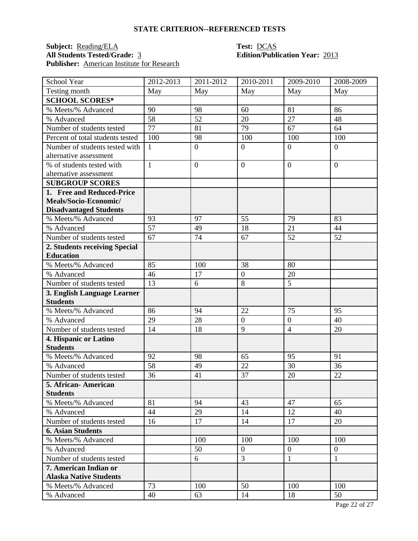## **Subject:** <u>Reading/ELA</u> **Test:** <u>DCAS</u><br> **All Students Tested/Grade:** 3 **Edition/Publ** Publisher: <u>American Institute for Research</u>

# **Edition/Publication Year: 2013**

| School Year                           | 2012-2013       | 2011-2012        | $\overline{2010}$ -2011 | 2009-2010        | 2008-2009      |
|---------------------------------------|-----------------|------------------|-------------------------|------------------|----------------|
| Testing month                         | May             | May              | May                     | May              | May            |
| <b>SCHOOL SCORES*</b>                 |                 |                  |                         |                  |                |
| % Meets/% Advanced                    | 90              | 98               | 60                      | 81               | 86             |
| % Advanced                            | 58              | 52               | 20                      | 27               | 48             |
| Number of students tested             | 77              | 81               | 79                      | 67               | 64             |
| Percent of total students tested      | 100             | 98               | 100                     | 100              | 100            |
| Number of students tested with        | $\mathbf{1}$    | $\boldsymbol{0}$ | $\overline{0}$          | $\overline{0}$   | $\overline{0}$ |
| alternative assessment                |                 |                  |                         |                  |                |
| % of students tested with             | $\mathbf{1}$    | $\overline{0}$   | $\overline{0}$          | $\overline{0}$   | $\Omega$       |
| alternative assessment                |                 |                  |                         |                  |                |
| <b>SUBGROUP SCORES</b>                |                 |                  |                         |                  |                |
| 1. Free and Reduced-Price             |                 |                  |                         |                  |                |
| Meals/Socio-Economic/                 |                 |                  |                         |                  |                |
| <b>Disadvantaged Students</b>         |                 |                  |                         |                  |                |
| % Meets/% Advanced                    | 93              | 97               | 55                      | 79               | 83             |
| % Advanced                            | $\overline{57}$ | 49               | 18                      | 21               | 44             |
| Number of students tested             | 67              | 74               | 67                      | 52               | 52             |
| 2. Students receiving Special         |                 |                  |                         |                  |                |
| <b>Education</b>                      |                 |                  |                         |                  |                |
| % Meets/% Advanced                    | 85              | 100              | 38                      | 80               |                |
| % Advanced                            | 46              | 17               | $\overline{0}$          | 20               |                |
| Number of students tested             | 13              | 6                | 8                       | $\overline{5}$   |                |
| 3. English Language Learner           |                 |                  |                         |                  |                |
| <b>Students</b>                       |                 |                  |                         |                  |                |
| % Meets/% Advanced                    | 86              | 94               | 22                      | 75               | 95             |
| % Advanced                            | 29              | 28               | $\overline{0}$          | $\overline{0}$   | 40             |
| Number of students tested             | 14              | 18               | 9                       | $\overline{4}$   | 20             |
| 4. Hispanic or Latino                 |                 |                  |                         |                  |                |
| <b>Students</b>                       |                 |                  |                         |                  |                |
| % Meets/% Advanced                    | 92              | 98               | 65<br>22                | 95               | 91             |
| % Advanced                            | 58              | 49               |                         | 30               | 36             |
| Number of students tested             | 36              | 41               | 37                      | 20               | 22             |
| 5. African - American                 |                 |                  |                         |                  |                |
| <b>Students</b><br>% Meets/% Advanced | 81              | 94               | 43                      | 47               | 65             |
| % Advanced                            | 44              | 29               | 14                      | 12               | 40             |
| Number of students tested             | 16              | 17               | 14                      | 17               | 20             |
| <b>6. Asian Students</b>              |                 |                  |                         |                  |                |
| % Meets/% Advanced                    |                 | 100              | 100                     | 100              | 100            |
| % Advanced                            |                 | 50               | $\overline{0}$          | $\boldsymbol{0}$ | $\overline{0}$ |
| Number of students tested             |                 | 6                | 3                       | $\mathbf{1}$     | 1              |
| 7. American Indian or                 |                 |                  |                         |                  |                |
| <b>Alaska Native Students</b>         |                 |                  |                         |                  |                |
| % Meets/% Advanced                    | 73              | 100              | 50                      | 100              | 100            |
| % Advanced                            | 40              | 63               | 14                      | 18               | 50             |
|                                       |                 |                  |                         |                  |                |

Page 22 of 27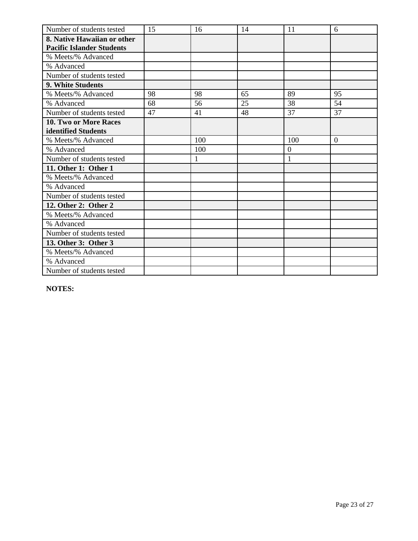| Number of students tested        | 15 | 16           | 14 | 11             | 6              |
|----------------------------------|----|--------------|----|----------------|----------------|
| 8. Native Hawaiian or other      |    |              |    |                |                |
| <b>Pacific Islander Students</b> |    |              |    |                |                |
| % Meets/% Advanced               |    |              |    |                |                |
| % Advanced                       |    |              |    |                |                |
| Number of students tested        |    |              |    |                |                |
| <b>9. White Students</b>         |    |              |    |                |                |
| % Meets/% Advanced               | 98 | 98           | 65 | 89             | 95             |
| % Advanced                       | 68 | 56           | 25 | 38             | 54             |
| Number of students tested        | 47 | 41           | 48 | 37             | 37             |
| 10. Two or More Races            |    |              |    |                |                |
| identified Students              |    |              |    |                |                |
| % Meets/% Advanced               |    | 100          |    | 100            | $\overline{0}$ |
| % Advanced                       |    | 100          |    | $\overline{0}$ |                |
| Number of students tested        |    | $\mathbf{1}$ |    | $\mathbf{1}$   |                |
| 11. Other 1: Other 1             |    |              |    |                |                |
| % Meets/% Advanced               |    |              |    |                |                |
| % Advanced                       |    |              |    |                |                |
| Number of students tested        |    |              |    |                |                |
| 12. Other 2: Other 2             |    |              |    |                |                |
| % Meets/% Advanced               |    |              |    |                |                |
| % Advanced                       |    |              |    |                |                |
| Number of students tested        |    |              |    |                |                |
| 13. Other 3: Other 3             |    |              |    |                |                |
| % Meets/% Advanced               |    |              |    |                |                |
| % Advanced                       |    |              |    |                |                |
| Number of students tested        |    |              |    |                |                |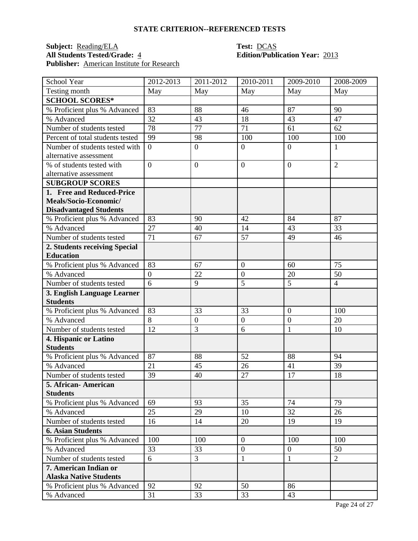### **Subject:** <u>Reading/ELA</u> **Test:** <u>DCAS</u><br> **All Students Tested/Grade:** 4 **Edition/Publ** Publisher: **American Institute for Research**

# **All Students Tested/Grade:** 4 **Edition/Publication Year:** 2013

| School Year                      | 2012-2013        | 2011-2012        | 2010-2011        | 2009-2010        | 2008-2009      |
|----------------------------------|------------------|------------------|------------------|------------------|----------------|
| Testing month                    | May              | May              | May              | May              | May            |
| <b>SCHOOL SCORES*</b>            |                  |                  |                  |                  |                |
| % Proficient plus % Advanced     | 83               | 88               | 46               | 87               | 90             |
| % Advanced                       | 32               | 43               | 18               | 43               | 47             |
| Number of students tested        | 78               | 77               | 71               | 61               | 62             |
| Percent of total students tested | 99               | 98               | 100              | 100              | 100            |
| Number of students tested with   | $\overline{0}$   | $\boldsymbol{0}$ | $\mathbf{0}$     | $\overline{0}$   | $\mathbf{1}$   |
| alternative assessment           |                  |                  |                  |                  |                |
| % of students tested with        | $\overline{0}$   | $\boldsymbol{0}$ | $\overline{0}$   | $\overline{0}$   | $\overline{2}$ |
| alternative assessment           |                  |                  |                  |                  |                |
| <b>SUBGROUP SCORES</b>           |                  |                  |                  |                  |                |
| 1. Free and Reduced-Price        |                  |                  |                  |                  |                |
| Meals/Socio-Economic/            |                  |                  |                  |                  |                |
| <b>Disadvantaged Students</b>    |                  |                  |                  |                  |                |
| % Proficient plus % Advanced     | 83               | 90               | 42               | 84               | 87             |
| % Advanced                       | 27               | 40               | 14               | 43               | 33             |
| Number of students tested        | 71               | 67               | 57               | 49               | 46             |
| 2. Students receiving Special    |                  |                  |                  |                  |                |
| <b>Education</b>                 |                  |                  |                  |                  |                |
| % Proficient plus % Advanced     | 83               | 67               | $\boldsymbol{0}$ | 60               | 75             |
| % Advanced                       | $\boldsymbol{0}$ | 22               | $\boldsymbol{0}$ | 20               | 50             |
| Number of students tested        | 6                | 9                | 5                | 5                | $\overline{4}$ |
| 3. English Language Learner      |                  |                  |                  |                  |                |
| <b>Students</b>                  |                  |                  |                  |                  |                |
| % Proficient plus % Advanced     | 83               | 33               | 33               | $\overline{0}$   | 100            |
| % Advanced                       | 8                | $\boldsymbol{0}$ | $\mathbf{0}$     | $\boldsymbol{0}$ | 20             |
| Number of students tested        | 12               | 3                | 6                | $\mathbf{1}$     | 10             |
| 4. Hispanic or Latino            |                  |                  |                  |                  |                |
| <b>Students</b>                  |                  |                  |                  |                  |                |
| % Proficient plus % Advanced     | 87               | 88               | 52               | 88               | 94             |
| % Advanced                       | 21               | 45               | 26               | 41               | 39             |
| Number of students tested        | 39               | 40               | 27               | 17               | 18             |
| 5. African - American            |                  |                  |                  |                  |                |
| <b>Students</b>                  |                  |                  |                  |                  |                |
| % Proficient plus % Advanced     | 69               | 93               | 35               | 74               | 79             |
| % Advanced                       | 25               | 29               | 10               | 32               | 26             |
| Number of students tested        | 16               | 14               | 20               | 19               | 19             |
| <b>6. Asian Students</b>         |                  |                  |                  |                  |                |
| % Proficient plus % Advanced     | 100              | 100              | $\overline{0}$   | 100              | 100            |
| % Advanced                       | 33               | 33               | $\boldsymbol{0}$ | $\boldsymbol{0}$ | 50             |
| Number of students tested        | 6                | 3                | $\mathbf{1}$     | $\mathbf{1}$     | $\overline{2}$ |
| 7. American Indian or            |                  |                  |                  |                  |                |
| <b>Alaska Native Students</b>    |                  |                  |                  |                  |                |
| % Proficient plus % Advanced     | 92               | 92               | 50               | 86               |                |
| % Advanced                       | 31               | 33               | 33               | 43               |                |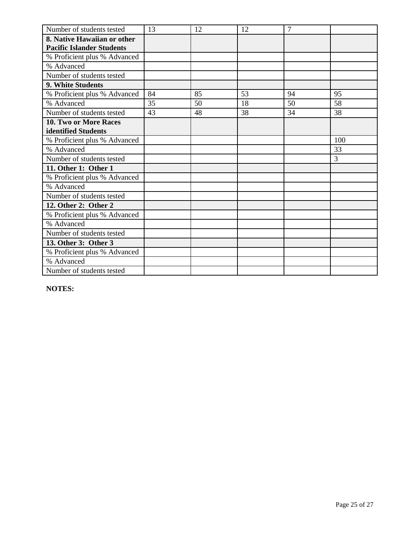| Number of students tested        | 13 | 12 | 12 | $\overline{7}$ |     |
|----------------------------------|----|----|----|----------------|-----|
| 8. Native Hawaiian or other      |    |    |    |                |     |
| <b>Pacific Islander Students</b> |    |    |    |                |     |
| % Proficient plus % Advanced     |    |    |    |                |     |
| % Advanced                       |    |    |    |                |     |
| Number of students tested        |    |    |    |                |     |
| 9. White Students                |    |    |    |                |     |
| % Proficient plus % Advanced     | 84 | 85 | 53 | 94             | 95  |
| % Advanced                       | 35 | 50 | 18 | 50             | 58  |
| Number of students tested        | 43 | 48 | 38 | 34             | 38  |
| <b>10. Two or More Races</b>     |    |    |    |                |     |
| identified Students              |    |    |    |                |     |
| % Proficient plus % Advanced     |    |    |    |                | 100 |
| % Advanced                       |    |    |    |                | 33  |
| Number of students tested        |    |    |    |                | 3   |
| 11. Other 1: Other 1             |    |    |    |                |     |
| % Proficient plus % Advanced     |    |    |    |                |     |
| % Advanced                       |    |    |    |                |     |
| Number of students tested        |    |    |    |                |     |
| 12. Other 2: Other 2             |    |    |    |                |     |
| % Proficient plus % Advanced     |    |    |    |                |     |
| % Advanced                       |    |    |    |                |     |
| Number of students tested        |    |    |    |                |     |
| 13. Other 3: Other 3             |    |    |    |                |     |
| % Proficient plus % Advanced     |    |    |    |                |     |
| % Advanced                       |    |    |    |                |     |
| Number of students tested        |    |    |    |                |     |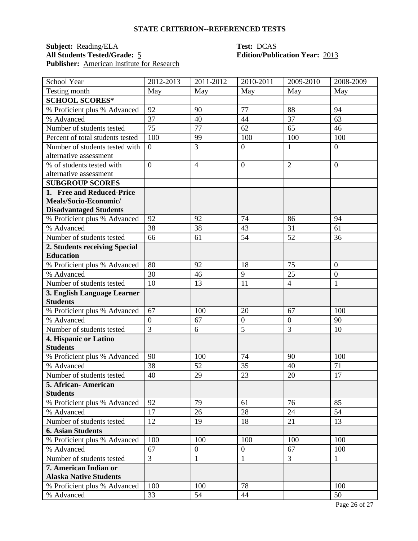## **Subject:** <u>Reading/ELA</u> **Test:** <u>DCAS</u><br> **All Students Tested/Grade:** 5 **Edition/Publ** Publisher: <u>American Institute for Research</u>

# **Edition/Publication Year: 2013**

| School Year                                | 2012-2013      | 2011-2012        | 2010-2011        | 2009-2010                        | 2008-2009      |
|--------------------------------------------|----------------|------------------|------------------|----------------------------------|----------------|
| Testing month                              | May            | May              | May              | May                              | May            |
| <b>SCHOOL SCORES*</b>                      |                |                  |                  |                                  |                |
| % Proficient plus % Advanced               | 92             | 90               | 77               | 88                               | 94             |
| % Advanced                                 | 37             | 40               | 44               | 37                               | 63             |
| Number of students tested                  | 75             | 77               | 62               | 65                               | 46             |
| Percent of total students tested           | 100            | 99               | 100              | 100                              | 100            |
| Number of students tested with             | $\overline{0}$ | 3                | $\mathbf{0}$     | $\mathbf{1}$                     | $\overline{0}$ |
| alternative assessment                     |                |                  |                  |                                  |                |
| % of students tested with                  | $\overline{0}$ | $\overline{4}$   | $\overline{0}$   | $\overline{2}$                   | $\overline{0}$ |
| alternative assessment                     |                |                  |                  |                                  |                |
| <b>SUBGROUP SCORES</b>                     |                |                  |                  |                                  |                |
| 1. Free and Reduced-Price                  |                |                  |                  |                                  |                |
| Meals/Socio-Economic/                      |                |                  |                  |                                  |                |
| <b>Disadvantaged Students</b>              |                |                  |                  |                                  |                |
| % Proficient plus % Advanced               | 92             | 92               | 74               | 86                               | 94             |
| % Advanced                                 | 38             | 38               | 43               | 31                               | 61             |
| Number of students tested                  | 66             | 61               | 54               | 52                               | 36             |
| 2. Students receiving Special              |                |                  |                  |                                  |                |
| <b>Education</b>                           |                |                  |                  |                                  |                |
| % Proficient plus % Advanced               | 80             | 92               | 18               | 75                               | $\overline{0}$ |
| % Advanced                                 | 30             | 46               | 9                | 25                               | $\mathbf{0}$   |
| Number of students tested                  | 10             | 13               | 11               | $\overline{4}$                   | $\mathbf{1}$   |
| 3. English Language Learner                |                |                  |                  |                                  |                |
| <b>Students</b>                            |                |                  |                  |                                  |                |
| % Proficient plus % Advanced               | 67             | 100              | 20               | 67                               | 100            |
| % Advanced                                 | $\overline{0}$ | 67               | $\mathbf{0}$     | $\overline{0}$<br>$\overline{3}$ | 90             |
| Number of students tested                  | $\overline{3}$ | 6                | 5                |                                  | 10             |
| 4. Hispanic or Latino<br><b>Students</b>   |                |                  |                  |                                  |                |
|                                            | 90             | 100              | 74               | 90                               | 100            |
| % Proficient plus % Advanced<br>% Advanced | 38             | 52               | 35               | 40                               | 71             |
| Number of students tested                  | 40             | 29               | 23               | 20                               | 17             |
|                                            |                |                  |                  |                                  |                |
| 5. African - American<br><b>Students</b>   |                |                  |                  |                                  |                |
| % Proficient plus % Advanced               | 92             | 79               | 61               | 76                               | 85             |
| % Advanced                                 | 17             | 26               | 28               | 24                               | 54             |
| Number of students tested                  | 12             | 19               | 18               | 21                               | 13             |
| <b>6. Asian Students</b>                   |                |                  |                  |                                  |                |
| % Proficient plus % Advanced               | 100            | 100              | 100              | 100                              | 100            |
| % Advanced                                 | 67             | $\boldsymbol{0}$ | $\boldsymbol{0}$ | 67                               | 100            |
| Number of students tested                  | 3              | 1                | $\mathbf{1}$     | $\overline{3}$                   | $\mathbf{1}$   |
| 7. American Indian or                      |                |                  |                  |                                  |                |
| <b>Alaska Native Students</b>              |                |                  |                  |                                  |                |
| % Proficient plus % Advanced               | 100            | 100              | 78               |                                  | 100            |
| % Advanced                                 | 33             | 54               | 44               |                                  | 50             |
|                                            |                |                  |                  |                                  |                |

Page 26 of 27